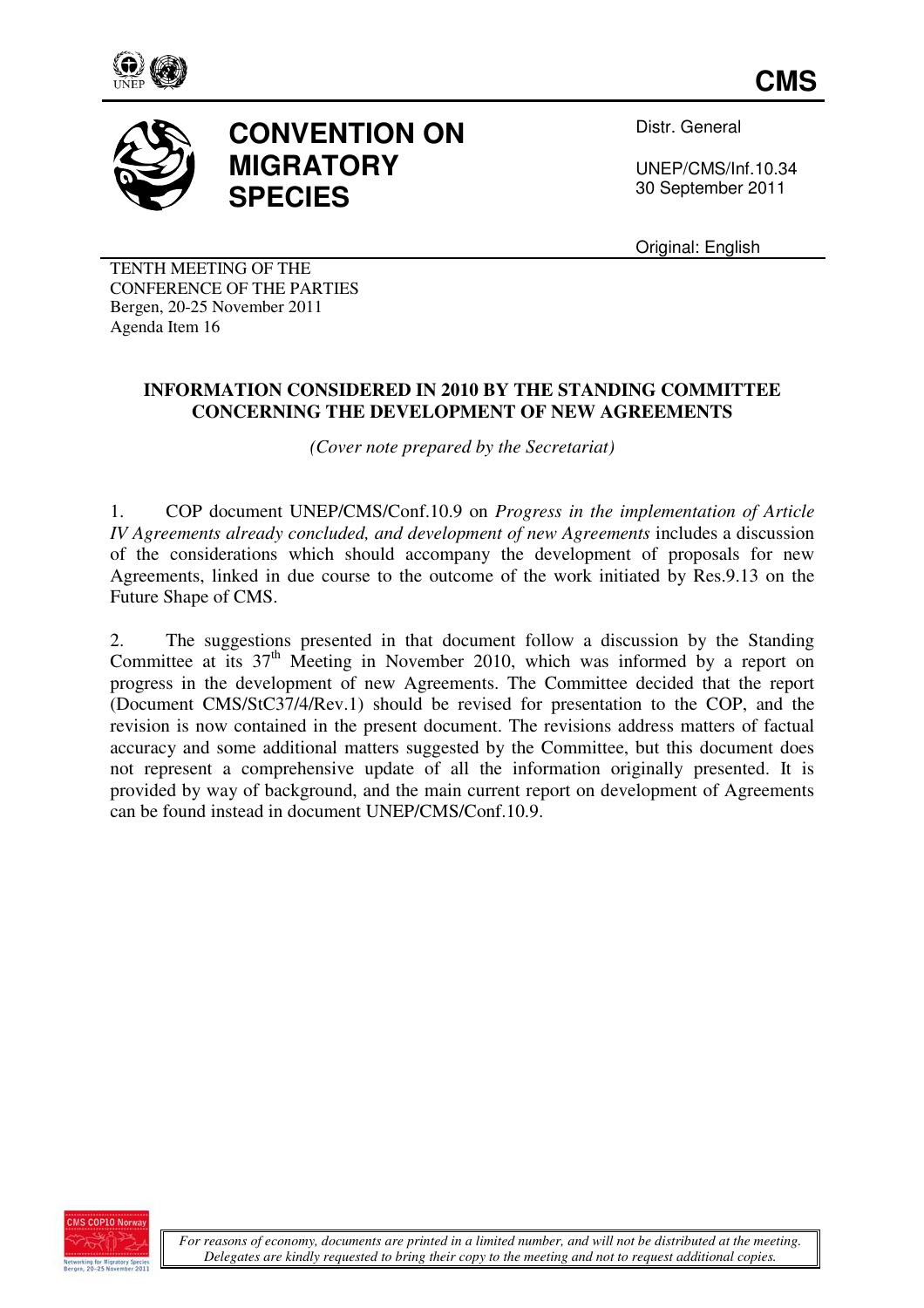



## **CONVENTION ON MIGRATORY SPECIES**

Distr. General

UNEP/CMS/Inf.10.34 30 September 2011

Original: English

TENTH MEETING OF THE CONFERENCE OF THE PARTIES Bergen, 20-25 November 2011 Agenda Item 16

## **INFORMATION CONSIDERED IN 2010 BY THE STANDING COMMITTEE CONCERNING THE DEVELOPMENT OF NEW AGREEMENTS**

*(Cover note prepared by the Secretariat)* 

1. COP document UNEP/CMS/Conf.10.9 on *Progress in the implementation of Article IV Agreements already concluded, and development of new Agreements* includes a discussion of the considerations which should accompany the development of proposals for new Agreements, linked in due course to the outcome of the work initiated by Res.9.13 on the Future Shape of CMS.

2. The suggestions presented in that document follow a discussion by the Standing Committee at its 37<sup>th</sup> Meeting in November 2010, which was informed by a report on progress in the development of new Agreements. The Committee decided that the report (Document CMS/StC37/4/Rev.1) should be revised for presentation to the COP, and the revision is now contained in the present document. The revisions address matters of factual accuracy and some additional matters suggested by the Committee, but this document does not represent a comprehensive update of all the information originally presented. It is provided by way of background, and the main current report on development of Agreements can be found instead in document UNEP/CMS/Conf.10.9.

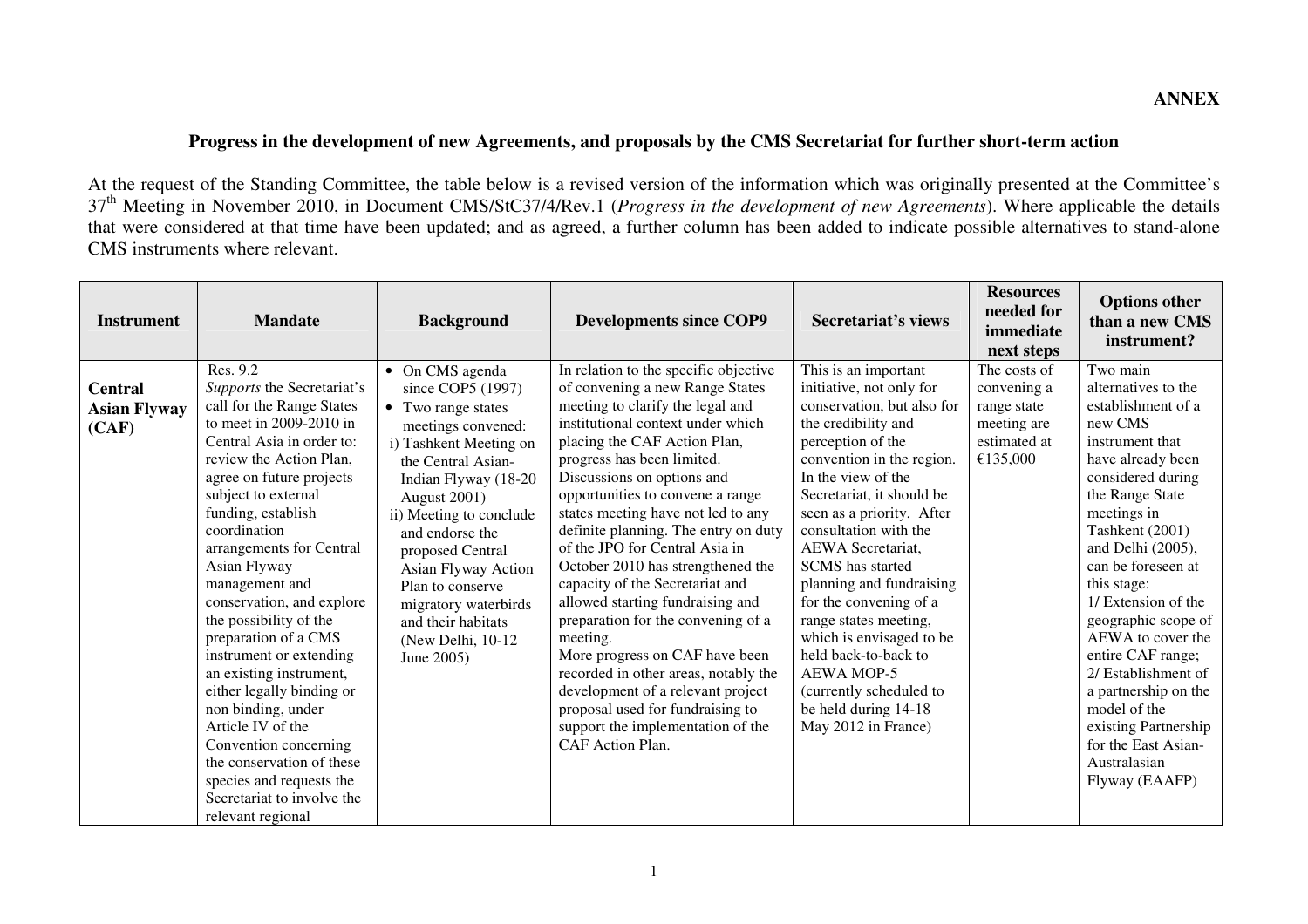## **Progress in the development of new Agreements, and proposals by the CMS Secretariat for further short-term action**

At the request of the Standing Committee, the table below is a revised version of the information which was originally presented at the Committee's 37th Meeting in November 2010, in Document CMS/StC37/4/Rev.1 (*Progress in the development of new Agreements*). Where applicable the details that were considered at that time have been updated; and as agreed, a further column has been added to indicate possible alternatives to stand-alone CMS instruments where relevant.

| <b>Instrument</b>                              | <b>Mandate</b>                                                                                                                                                                                                                                                                                                                                                                                                                                                                                                                                                                                                                                                  | <b>Background</b>                                                                                                                                                                                                                                                                                                                                                          | <b>Developments since COP9</b>                                                                                                                                                                                                                                                                                                                                                                                                                                                                                                                                                                                                                                                                                                                                              | Secretariat's views                                                                                                                                                                                                                                                                                                                                                                                                                                                                                                                                | <b>Resources</b><br>needed for<br>immediate<br>next steps                             | <b>Options other</b><br>than a new CMS<br>instrument?                                                                                                                                                                                                                                                                                                                                                                                                                                |
|------------------------------------------------|-----------------------------------------------------------------------------------------------------------------------------------------------------------------------------------------------------------------------------------------------------------------------------------------------------------------------------------------------------------------------------------------------------------------------------------------------------------------------------------------------------------------------------------------------------------------------------------------------------------------------------------------------------------------|----------------------------------------------------------------------------------------------------------------------------------------------------------------------------------------------------------------------------------------------------------------------------------------------------------------------------------------------------------------------------|-----------------------------------------------------------------------------------------------------------------------------------------------------------------------------------------------------------------------------------------------------------------------------------------------------------------------------------------------------------------------------------------------------------------------------------------------------------------------------------------------------------------------------------------------------------------------------------------------------------------------------------------------------------------------------------------------------------------------------------------------------------------------------|----------------------------------------------------------------------------------------------------------------------------------------------------------------------------------------------------------------------------------------------------------------------------------------------------------------------------------------------------------------------------------------------------------------------------------------------------------------------------------------------------------------------------------------------------|---------------------------------------------------------------------------------------|--------------------------------------------------------------------------------------------------------------------------------------------------------------------------------------------------------------------------------------------------------------------------------------------------------------------------------------------------------------------------------------------------------------------------------------------------------------------------------------|
| <b>Central</b><br><b>Asian Flyway</b><br>(CAF) | Res. 9.2<br>Supports the Secretariat's<br>call for the Range States<br>to meet in 2009-2010 in<br>Central Asia in order to:<br>review the Action Plan,<br>agree on future projects<br>subject to external<br>funding, establish<br>coordination<br>arrangements for Central<br>Asian Flyway<br>management and<br>conservation, and explore<br>the possibility of the<br>preparation of a CMS<br>instrument or extending<br>an existing instrument,<br>either legally binding or<br>non binding, under<br>Article IV of the<br>Convention concerning<br>the conservation of these<br>species and requests the<br>Secretariat to involve the<br>relevant regional | • On CMS agenda<br>since COP5 (1997)<br>• Two range states<br>meetings convened:<br>i) Tashkent Meeting on<br>the Central Asian-<br>Indian Flyway (18-20<br>August 2001)<br>ii) Meeting to conclude<br>and endorse the<br>proposed Central<br>Asian Flyway Action<br>Plan to conserve<br>migratory waterbirds<br>and their habitats<br>(New Delhi, $10-12$ )<br>June 2005) | In relation to the specific objective<br>of convening a new Range States<br>meeting to clarify the legal and<br>institutional context under which<br>placing the CAF Action Plan,<br>progress has been limited.<br>Discussions on options and<br>opportunities to convene a range<br>states meeting have not led to any<br>definite planning. The entry on duty<br>of the JPO for Central Asia in<br>October 2010 has strengthened the<br>capacity of the Secretariat and<br>allowed starting fundraising and<br>preparation for the convening of a<br>meeting.<br>More progress on CAF have been<br>recorded in other areas, notably the<br>development of a relevant project<br>proposal used for fundraising to<br>support the implementation of the<br>CAF Action Plan. | This is an important<br>initiative, not only for<br>conservation, but also for<br>the credibility and<br>perception of the<br>convention in the region.<br>In the view of the<br>Secretariat, it should be<br>seen as a priority. After<br>consultation with the<br>AEWA Secretariat,<br><b>SCMS</b> has started<br>planning and fundraising<br>for the convening of a<br>range states meeting,<br>which is envisaged to be<br>held back-to-back to<br><b>AEWA MOP-5</b><br>(currently scheduled to<br>be held during 14-18<br>May 2012 in France) | The costs of<br>convening a<br>range state<br>meeting are<br>estimated at<br>€135,000 | Two main<br>alternatives to the<br>establishment of a<br>new CMS<br>instrument that<br>have already been<br>considered during<br>the Range State<br>meetings in<br>Tashkent (2001)<br>and Delhi (2005),<br>can be foreseen at<br>this stage:<br>1/ Extension of the<br>geographic scope of<br>AEWA to cover the<br>entire CAF range;<br>2/ Establishment of<br>a partnership on the<br>model of the<br>existing Partnership<br>for the East Asian-<br>Australasian<br>Flyway (EAAFP) |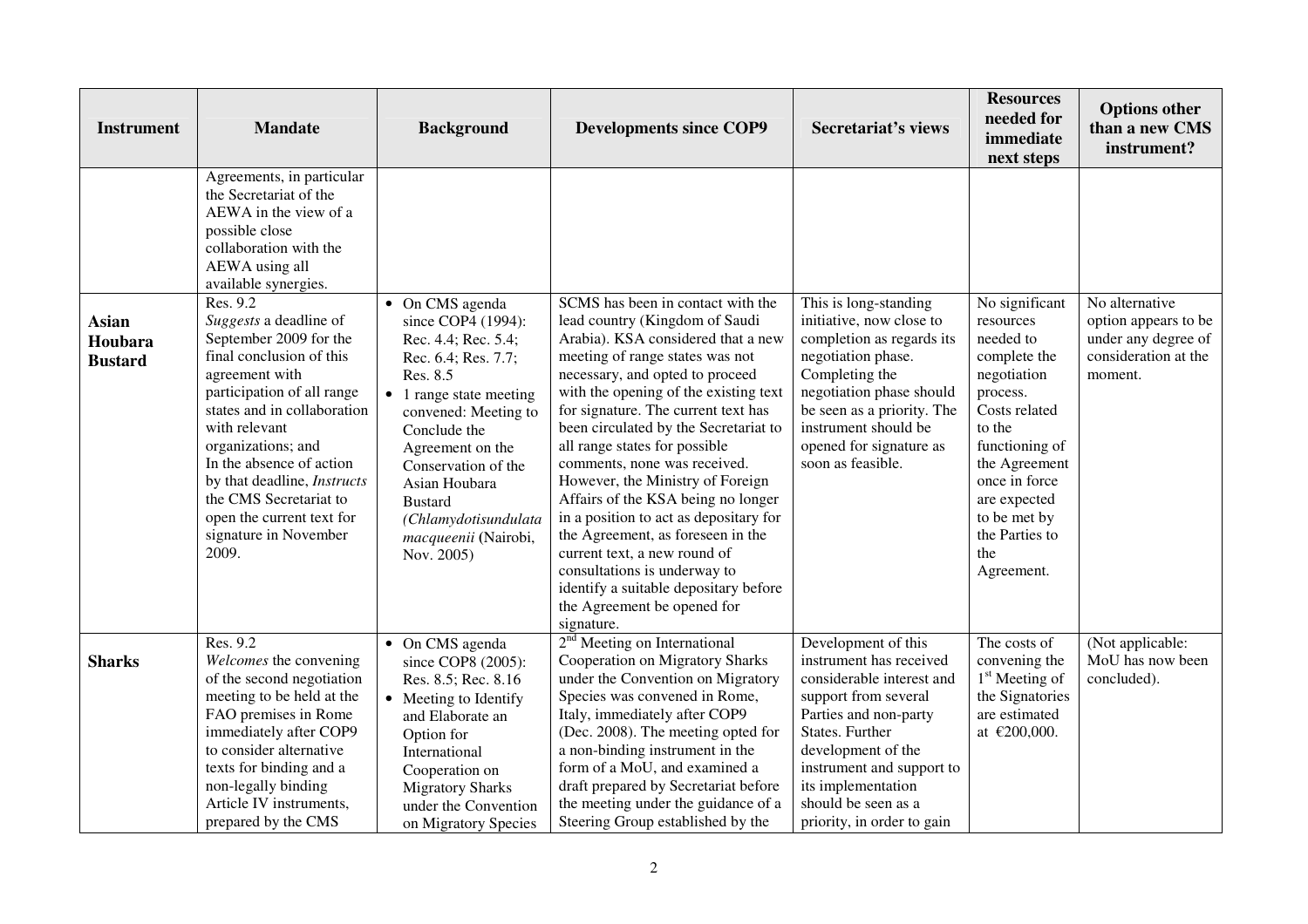| <b>Instrument</b>                         | <b>Mandate</b>                                                                                                                                                                                                                                                                                                                                                     | <b>Background</b>                                                                                                                                                                                                                                                                                                         | <b>Developments since COP9</b>                                                                                                                                                                                                                                                                                                                                                                                                                                                                                                                                                                                                                                                           | <b>Secretariat's views</b>                                                                                                                                                                                                                                                    | <b>Resources</b><br>needed for<br>immediate<br>next steps                                                                                                                                                                                 | <b>Options other</b><br>than a new CMS<br>instrument?                                            |
|-------------------------------------------|--------------------------------------------------------------------------------------------------------------------------------------------------------------------------------------------------------------------------------------------------------------------------------------------------------------------------------------------------------------------|---------------------------------------------------------------------------------------------------------------------------------------------------------------------------------------------------------------------------------------------------------------------------------------------------------------------------|------------------------------------------------------------------------------------------------------------------------------------------------------------------------------------------------------------------------------------------------------------------------------------------------------------------------------------------------------------------------------------------------------------------------------------------------------------------------------------------------------------------------------------------------------------------------------------------------------------------------------------------------------------------------------------------|-------------------------------------------------------------------------------------------------------------------------------------------------------------------------------------------------------------------------------------------------------------------------------|-------------------------------------------------------------------------------------------------------------------------------------------------------------------------------------------------------------------------------------------|--------------------------------------------------------------------------------------------------|
|                                           | Agreements, in particular<br>the Secretariat of the<br>AEWA in the view of a<br>possible close<br>collaboration with the<br>AEWA using all<br>available synergies.                                                                                                                                                                                                 |                                                                                                                                                                                                                                                                                                                           |                                                                                                                                                                                                                                                                                                                                                                                                                                                                                                                                                                                                                                                                                          |                                                                                                                                                                                                                                                                               |                                                                                                                                                                                                                                           |                                                                                                  |
| <b>Asian</b><br>Houbara<br><b>Bustard</b> | Res. 9.2<br>Suggests a deadline of<br>September 2009 for the<br>final conclusion of this<br>agreement with<br>participation of all range<br>states and in collaboration<br>with relevant<br>organizations; and<br>In the absence of action<br>by that deadline, Instructs<br>the CMS Secretariat to<br>open the current text for<br>signature in November<br>2009. | On CMS agenda<br>$\bullet$<br>since COP4 (1994):<br>Rec. 4.4; Rec. 5.4;<br>Rec. 6.4; Res. 7.7;<br>Res. 8.5<br>• 1 range state meeting<br>convened: Meeting to<br>Conclude the<br>Agreement on the<br>Conservation of the<br>Asian Houbara<br><b>Bustard</b><br>(Chlamydotisundulata<br>macqueenii (Nairobi,<br>Nov. 2005) | SCMS has been in contact with the<br>lead country (Kingdom of Saudi<br>Arabia). KSA considered that a new<br>meeting of range states was not<br>necessary, and opted to proceed<br>with the opening of the existing text<br>for signature. The current text has<br>been circulated by the Secretariat to<br>all range states for possible<br>comments, none was received.<br>However, the Ministry of Foreign<br>Affairs of the KSA being no longer<br>in a position to act as depositary for<br>the Agreement, as foreseen in the<br>current text, a new round of<br>consultations is underway to<br>identify a suitable depositary before<br>the Agreement be opened for<br>signature. | This is long-standing<br>initiative, now close to<br>completion as regards its<br>negotiation phase.<br>Completing the<br>negotiation phase should<br>be seen as a priority. The<br>instrument should be<br>opened for signature as<br>soon as feasible.                      | No significant<br>resources<br>needed to<br>complete the<br>negotiation<br>process.<br>Costs related<br>to the<br>functioning of<br>the Agreement<br>once in force<br>are expected<br>to be met by<br>the Parties to<br>the<br>Agreement. | No alternative<br>option appears to be<br>under any degree of<br>consideration at the<br>moment. |
| <b>Sharks</b>                             | Res. 9.2<br>Welcomes the convening<br>of the second negotiation<br>meeting to be held at the<br>FAO premises in Rome<br>immediately after COP9<br>to consider alternative<br>texts for binding and a<br>non-legally binding<br>Article IV instruments,<br>prepared by the CMS                                                                                      | • On CMS agenda<br>since COP8 (2005):<br>Res. 8.5; Rec. 8.16<br>• Meeting to Identify<br>and Elaborate an<br>Option for<br>International<br>Cooperation on<br><b>Migratory Sharks</b><br>under the Convention<br>on Migratory Species                                                                                     | 2 <sup>nd</sup> Meeting on International<br>Cooperation on Migratory Sharks<br>under the Convention on Migratory<br>Species was convened in Rome,<br>Italy, immediately after COP9<br>(Dec. 2008). The meeting opted for<br>a non-binding instrument in the<br>form of a MoU, and examined a<br>draft prepared by Secretariat before<br>the meeting under the guidance of a<br>Steering Group established by the                                                                                                                                                                                                                                                                         | Development of this<br>instrument has received<br>considerable interest and<br>support from several<br>Parties and non-party<br>States. Further<br>development of the<br>instrument and support to<br>its implementation<br>should be seen as a<br>priority, in order to gain | The costs of<br>convening the<br>1 <sup>st</sup> Meeting of<br>the Signatories<br>are estimated<br>at $€200,000$ .                                                                                                                        | (Not applicable:<br>MoU has now been<br>concluded).                                              |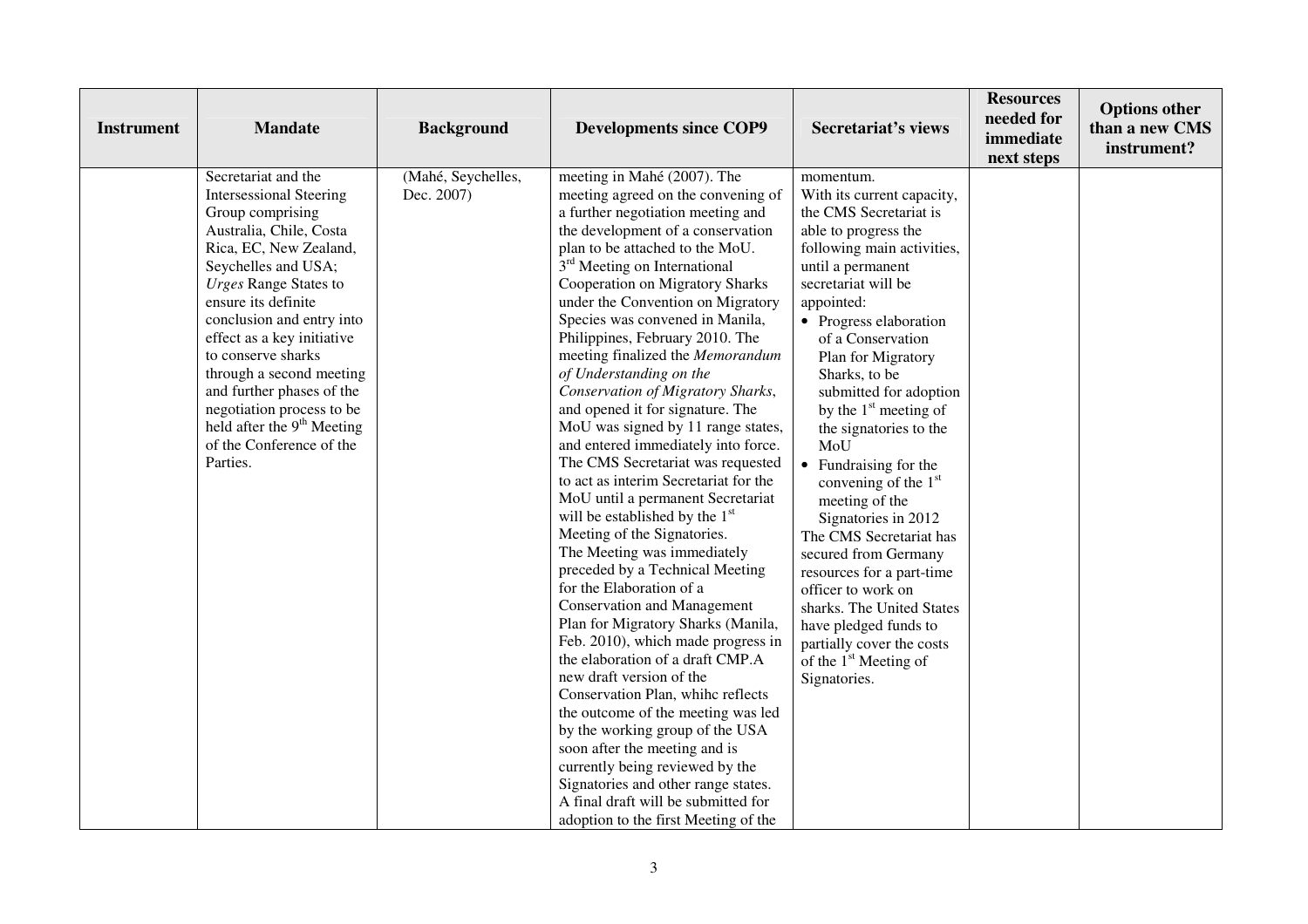| <b>Instrument</b> | <b>Mandate</b>                                                                                                                                                                                                                                                                                                                                                                                                                                            | <b>Background</b>                | <b>Developments since COP9</b>                                                                                                                                                                                                                                                                                                                                                                                                                                                                                                                                                                                                                                                                                                                                                                                                                                                                                                                                                                                                                                                                                                                                                                                                                                                                                                                                                        | <b>Secretariat's views</b>                                                                                                                                                                                                                                                                                                                                                                                                                                                                                                                                                                                                                                                                                                             | <b>Resources</b><br>needed for<br>immediate<br>next steps | <b>Options other</b><br>than a new CMS<br>instrument? |
|-------------------|-----------------------------------------------------------------------------------------------------------------------------------------------------------------------------------------------------------------------------------------------------------------------------------------------------------------------------------------------------------------------------------------------------------------------------------------------------------|----------------------------------|---------------------------------------------------------------------------------------------------------------------------------------------------------------------------------------------------------------------------------------------------------------------------------------------------------------------------------------------------------------------------------------------------------------------------------------------------------------------------------------------------------------------------------------------------------------------------------------------------------------------------------------------------------------------------------------------------------------------------------------------------------------------------------------------------------------------------------------------------------------------------------------------------------------------------------------------------------------------------------------------------------------------------------------------------------------------------------------------------------------------------------------------------------------------------------------------------------------------------------------------------------------------------------------------------------------------------------------------------------------------------------------|----------------------------------------------------------------------------------------------------------------------------------------------------------------------------------------------------------------------------------------------------------------------------------------------------------------------------------------------------------------------------------------------------------------------------------------------------------------------------------------------------------------------------------------------------------------------------------------------------------------------------------------------------------------------------------------------------------------------------------------|-----------------------------------------------------------|-------------------------------------------------------|
| Parties.          | Secretariat and the<br><b>Intersessional Steering</b><br>Group comprising<br>Australia, Chile, Costa<br>Rica, EC, New Zealand,<br>Seychelles and USA;<br><b>Urges Range States to</b><br>ensure its definite<br>conclusion and entry into<br>effect as a key initiative<br>to conserve sharks<br>through a second meeting<br>and further phases of the<br>negotiation process to be<br>held after the 9 <sup>th</sup> Meeting<br>of the Conference of the | (Mahé, Seychelles,<br>Dec. 2007) | meeting in Mahé (2007). The<br>meeting agreed on the convening of<br>a further negotiation meeting and<br>the development of a conservation<br>plan to be attached to the MoU.<br>3 <sup>rd</sup> Meeting on International<br>Cooperation on Migratory Sharks<br>under the Convention on Migratory<br>Species was convened in Manila,<br>Philippines, February 2010. The<br>meeting finalized the Memorandum<br>of Understanding on the<br>Conservation of Migratory Sharks,<br>and opened it for signature. The<br>MoU was signed by 11 range states,<br>and entered immediately into force.<br>The CMS Secretariat was requested<br>to act as interim Secretariat for the<br>MoU until a permanent Secretariat<br>will be established by the 1 <sup>st</sup><br>Meeting of the Signatories.<br>The Meeting was immediately<br>preceded by a Technical Meeting<br>for the Elaboration of a<br><b>Conservation and Management</b><br>Plan for Migratory Sharks (Manila,<br>Feb. 2010), which made progress in<br>the elaboration of a draft CMP.A<br>new draft version of the<br>Conservation Plan, whihe reflects<br>the outcome of the meeting was led<br>by the working group of the USA<br>soon after the meeting and is<br>currently being reviewed by the<br>Signatories and other range states.<br>A final draft will be submitted for<br>adoption to the first Meeting of the | momentum.<br>With its current capacity,<br>the CMS Secretariat is<br>able to progress the<br>following main activities,<br>until a permanent<br>secretariat will be<br>appointed:<br>• Progress elaboration<br>of a Conservation<br>Plan for Migratory<br>Sharks, to be<br>submitted for adoption<br>by the 1 <sup>st</sup> meeting of<br>the signatories to the<br>MoU<br>Fundraising for the<br>$\bullet$<br>convening of the 1 <sup>st</sup><br>meeting of the<br>Signatories in 2012<br>The CMS Secretariat has<br>secured from Germany<br>resources for a part-time<br>officer to work on<br>sharks. The United States<br>have pledged funds to<br>partially cover the costs<br>of the 1 <sup>st</sup> Meeting of<br>Signatories. |                                                           |                                                       |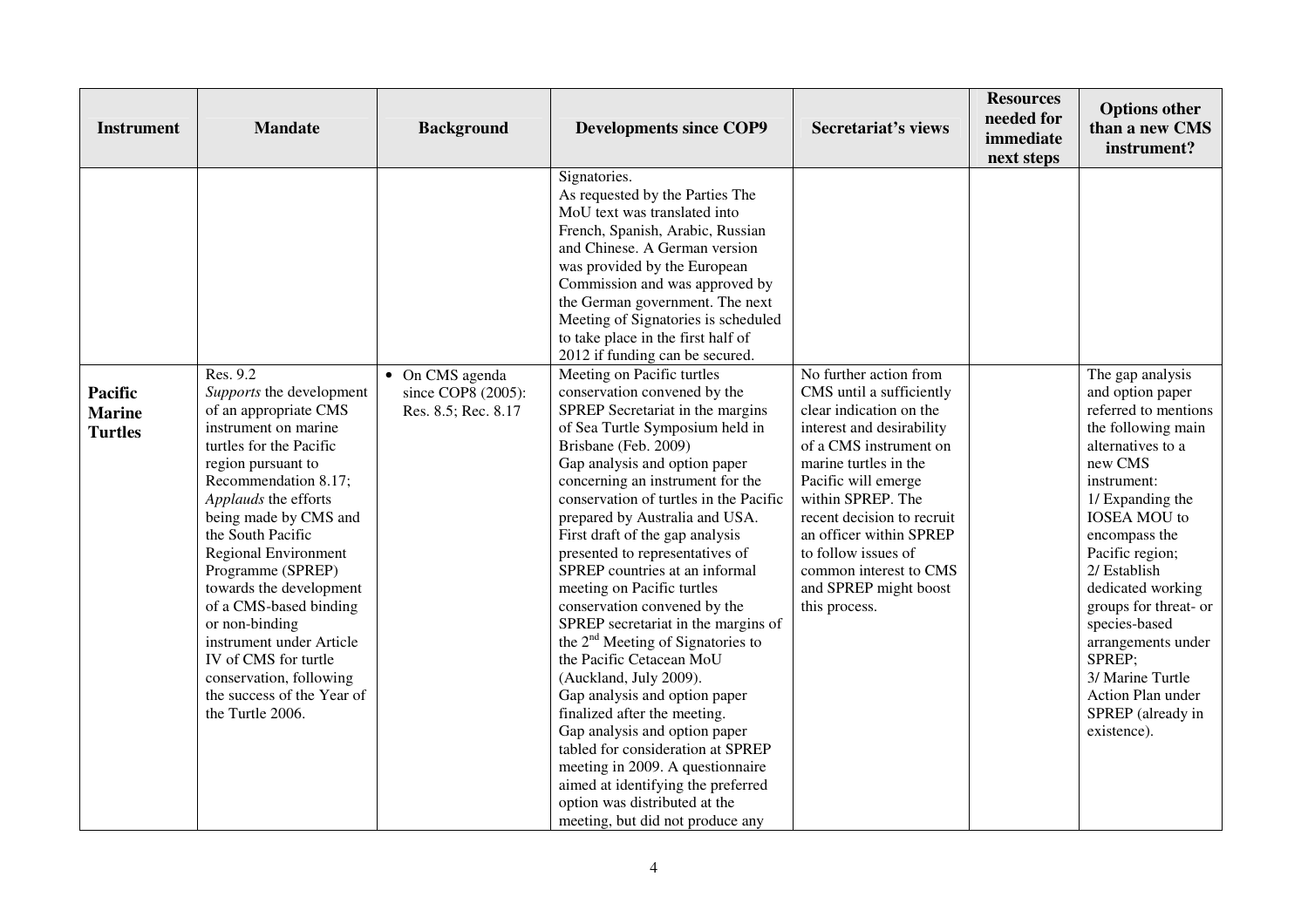| <b>Instrument</b>                                 | <b>Mandate</b>                                                                                                                                                                                                                                                                                                                         | <b>Background</b>                                            | <b>Developments since COP9</b>                                                                                                                                                                                                                                                                                                                                                                                                                                                                                                                                                                                                                                                                                                                                                                                                                                | <b>Secretariat's views</b>                                                                                                                                                                                                                                                                                                                                    | <b>Resources</b><br>needed for<br>immediate<br>next steps | <b>Options other</b><br>than a new CMS<br>instrument?                                                                                                                                                                                                                          |
|---------------------------------------------------|----------------------------------------------------------------------------------------------------------------------------------------------------------------------------------------------------------------------------------------------------------------------------------------------------------------------------------------|--------------------------------------------------------------|---------------------------------------------------------------------------------------------------------------------------------------------------------------------------------------------------------------------------------------------------------------------------------------------------------------------------------------------------------------------------------------------------------------------------------------------------------------------------------------------------------------------------------------------------------------------------------------------------------------------------------------------------------------------------------------------------------------------------------------------------------------------------------------------------------------------------------------------------------------|---------------------------------------------------------------------------------------------------------------------------------------------------------------------------------------------------------------------------------------------------------------------------------------------------------------------------------------------------------------|-----------------------------------------------------------|--------------------------------------------------------------------------------------------------------------------------------------------------------------------------------------------------------------------------------------------------------------------------------|
| <b>Pacific</b><br><b>Marine</b><br><b>Turtles</b> | Res. 9.2<br>Supports the development<br>of an appropriate CMS<br>instrument on marine<br>turtles for the Pacific<br>region pursuant to<br>Recommendation 8.17;<br>Applauds the efforts<br>being made by CMS and<br>the South Pacific<br>Regional Environment<br>Programme (SPREP)<br>towards the development<br>of a CMS-based binding | • On CMS agenda<br>since COP8 (2005):<br>Res. 8.5; Rec. 8.17 | Signatories.<br>As requested by the Parties The<br>MoU text was translated into<br>French, Spanish, Arabic, Russian<br>and Chinese. A German version<br>was provided by the European<br>Commission and was approved by<br>the German government. The next<br>Meeting of Signatories is scheduled<br>to take place in the first half of<br>2012 if funding can be secured.<br>Meeting on Pacific turtles<br>conservation convened by the<br>SPREP Secretariat in the margins<br>of Sea Turtle Symposium held in<br>Brisbane (Feb. 2009)<br>Gap analysis and option paper<br>concerning an instrument for the<br>conservation of turtles in the Pacific<br>prepared by Australia and USA.<br>First draft of the gap analysis<br>presented to representatives of<br>SPREP countries at an informal<br>meeting on Pacific turtles<br>conservation convened by the | No further action from<br>CMS until a sufficiently<br>clear indication on the<br>interest and desirability<br>of a CMS instrument on<br>marine turtles in the<br>Pacific will emerge<br>within SPREP. The<br>recent decision to recruit<br>an officer within SPREP<br>to follow issues of<br>common interest to CMS<br>and SPREP might boost<br>this process. |                                                           | The gap analysis<br>and option paper<br>referred to mentions<br>the following main<br>alternatives to a<br>new CMS<br>instrument:<br>1/ Expanding the<br><b>IOSEA MOU</b> to<br>encompass the<br>Pacific region;<br>2/ Establish<br>dedicated working<br>groups for threat- or |
|                                                   | or non-binding<br>instrument under Article<br>IV of CMS for turtle<br>conservation, following<br>the success of the Year of<br>the Turtle 2006.                                                                                                                                                                                        |                                                              | SPREP secretariat in the margins of<br>the 2 <sup>nd</sup> Meeting of Signatories to<br>the Pacific Cetacean MoU<br>(Auckland, July 2009).<br>Gap analysis and option paper<br>finalized after the meeting.<br>Gap analysis and option paper<br>tabled for consideration at SPREP<br>meeting in 2009. A questionnaire<br>aimed at identifying the preferred<br>option was distributed at the<br>meeting, but did not produce any                                                                                                                                                                                                                                                                                                                                                                                                                              |                                                                                                                                                                                                                                                                                                                                                               |                                                           | species-based<br>arrangements under<br>SPREP;<br>3/ Marine Turtle<br>Action Plan under<br>SPREP (already in<br>existence).                                                                                                                                                     |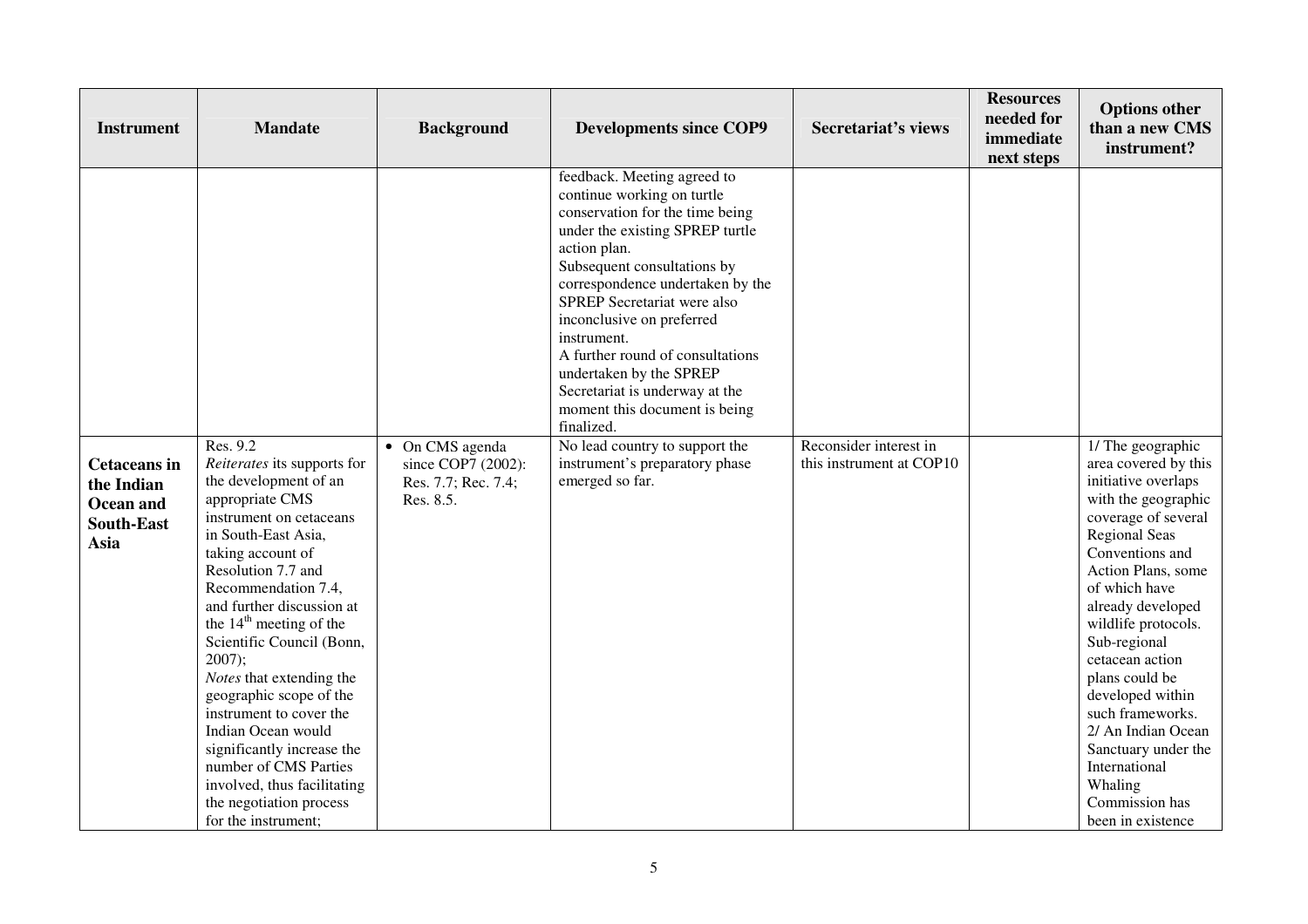| <b>Instrument</b>                                                           | <b>Mandate</b>                                                                                                                                                                                                                                                                                                                                                                                                                                                                                                                                                       | <b>Background</b>                                                         | <b>Developments since COP9</b>                                                                                                                                                                                                                                                                                                                                                                                                                                                                                                       | <b>Secretariat's views</b>                         | <b>Resources</b><br>needed for<br>immediate<br>next steps | <b>Options other</b><br>than a new CMS<br>instrument?                                                                                                                                                                                                                                                                                                                                                                                                     |
|-----------------------------------------------------------------------------|----------------------------------------------------------------------------------------------------------------------------------------------------------------------------------------------------------------------------------------------------------------------------------------------------------------------------------------------------------------------------------------------------------------------------------------------------------------------------------------------------------------------------------------------------------------------|---------------------------------------------------------------------------|--------------------------------------------------------------------------------------------------------------------------------------------------------------------------------------------------------------------------------------------------------------------------------------------------------------------------------------------------------------------------------------------------------------------------------------------------------------------------------------------------------------------------------------|----------------------------------------------------|-----------------------------------------------------------|-----------------------------------------------------------------------------------------------------------------------------------------------------------------------------------------------------------------------------------------------------------------------------------------------------------------------------------------------------------------------------------------------------------------------------------------------------------|
| <b>Cetaceans</b> in<br>the Indian<br>Ocean and<br><b>South-East</b><br>Asia | Res. 9.2<br>Reiterates its supports for<br>the development of an<br>appropriate CMS<br>instrument on cetaceans<br>in South-East Asia,<br>taking account of<br>Resolution 7.7 and<br>Recommendation 7.4,<br>and further discussion at<br>the 14 <sup>th</sup> meeting of the<br>Scientific Council (Bonn,<br>$2007$ ;<br>Notes that extending the<br>geographic scope of the<br>instrument to cover the<br>Indian Ocean would<br>significantly increase the<br>number of CMS Parties<br>involved, thus facilitating<br>the negotiation process<br>for the instrument; | • On CMS agenda<br>since COP7 (2002):<br>Res. 7.7; Rec. 7.4;<br>Res. 8.5. | feedback. Meeting agreed to<br>continue working on turtle<br>conservation for the time being<br>under the existing SPREP turtle<br>action plan.<br>Subsequent consultations by<br>correspondence undertaken by the<br>SPREP Secretariat were also<br>inconclusive on preferred<br>instrument.<br>A further round of consultations<br>undertaken by the SPREP<br>Secretariat is underway at the<br>moment this document is being<br>finalized.<br>No lead country to support the<br>instrument's preparatory phase<br>emerged so far. | Reconsider interest in<br>this instrument at COP10 |                                                           | 1/ The geographic<br>area covered by this<br>initiative overlaps<br>with the geographic<br>coverage of several<br><b>Regional Seas</b><br>Conventions and<br>Action Plans, some<br>of which have<br>already developed<br>wildlife protocols.<br>Sub-regional<br>cetacean action<br>plans could be<br>developed within<br>such frameworks.<br>2/ An Indian Ocean<br>Sanctuary under the<br>International<br>Whaling<br>Commission has<br>been in existence |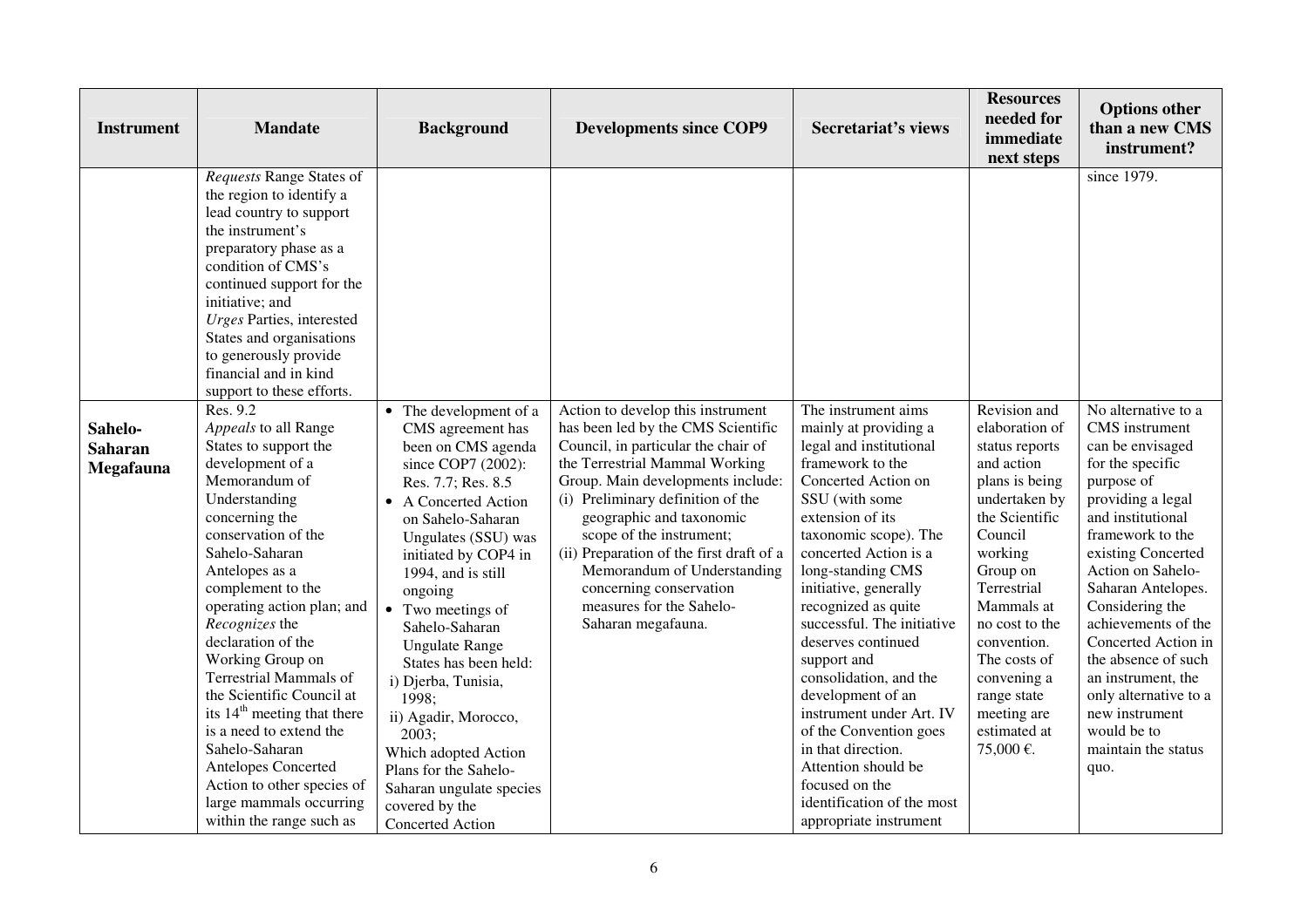| <b>Instrument</b>                      | <b>Mandate</b>                                                                                                                                                                                                                                                                                                                                                                                                                                                                                                                                                                | <b>Background</b>                                                                                                                                                                                                                                                                                                                                                                                                                                                                                                       | <b>Developments since COP9</b>                                                                                                                                                                                                                                                                                                                                                                                                             | <b>Secretariat's views</b>                                                                                                                                                                                                                                                                                                                                                                                                                                                                                                                                                     | <b>Resources</b><br>needed for<br>immediate<br>next steps                                                                                                                                                                                                                                                     | <b>Options other</b><br>than a new CMS<br>instrument?                                                                                                                                                                                                                                                                                                                                                                             |
|----------------------------------------|-------------------------------------------------------------------------------------------------------------------------------------------------------------------------------------------------------------------------------------------------------------------------------------------------------------------------------------------------------------------------------------------------------------------------------------------------------------------------------------------------------------------------------------------------------------------------------|-------------------------------------------------------------------------------------------------------------------------------------------------------------------------------------------------------------------------------------------------------------------------------------------------------------------------------------------------------------------------------------------------------------------------------------------------------------------------------------------------------------------------|--------------------------------------------------------------------------------------------------------------------------------------------------------------------------------------------------------------------------------------------------------------------------------------------------------------------------------------------------------------------------------------------------------------------------------------------|--------------------------------------------------------------------------------------------------------------------------------------------------------------------------------------------------------------------------------------------------------------------------------------------------------------------------------------------------------------------------------------------------------------------------------------------------------------------------------------------------------------------------------------------------------------------------------|---------------------------------------------------------------------------------------------------------------------------------------------------------------------------------------------------------------------------------------------------------------------------------------------------------------|-----------------------------------------------------------------------------------------------------------------------------------------------------------------------------------------------------------------------------------------------------------------------------------------------------------------------------------------------------------------------------------------------------------------------------------|
|                                        | Requests Range States of<br>the region to identify a<br>lead country to support<br>the instrument's<br>preparatory phase as a<br>condition of CMS's<br>continued support for the<br>initiative; and<br><b>Urges Parties</b> , interested<br>States and organisations<br>to generously provide<br>financial and in kind<br>support to these efforts.                                                                                                                                                                                                                           |                                                                                                                                                                                                                                                                                                                                                                                                                                                                                                                         |                                                                                                                                                                                                                                                                                                                                                                                                                                            |                                                                                                                                                                                                                                                                                                                                                                                                                                                                                                                                                                                |                                                                                                                                                                                                                                                                                                               | since 1979.                                                                                                                                                                                                                                                                                                                                                                                                                       |
| Sahelo-<br><b>Saharan</b><br>Megafauna | Res. 9.2<br>Appeals to all Range<br>States to support the<br>development of a<br>Memorandum of<br>Understanding<br>concerning the<br>conservation of the<br>Sahelo-Saharan<br>Antelopes as a<br>complement to the<br>operating action plan; and<br>Recognizes the<br>declaration of the<br>Working Group on<br><b>Terrestrial Mammals of</b><br>the Scientific Council at<br>its 14 <sup>th</sup> meeting that there<br>is a need to extend the<br>Sahelo-Saharan<br>Antelopes Concerted<br>Action to other species of<br>large mammals occurring<br>within the range such as | • The development of a<br>CMS agreement has<br>been on CMS agenda<br>since COP7 (2002):<br>Res. 7.7; Res. 8.5<br>• A Concerted Action<br>on Sahelo-Saharan<br>Ungulates (SSU) was<br>initiated by COP4 in<br>1994, and is still<br>ongoing<br>• Two meetings of<br>Sahelo-Saharan<br><b>Ungulate Range</b><br>States has been held:<br>i) Djerba, Tunisia,<br>1998:<br>ii) Agadir, Morocco,<br>2003;<br>Which adopted Action<br>Plans for the Sahelo-<br>Saharan ungulate species<br>covered by the<br>Concerted Action | Action to develop this instrument<br>has been led by the CMS Scientific<br>Council, in particular the chair of<br>the Terrestrial Mammal Working<br>Group. Main developments include:<br>(i) Preliminary definition of the<br>geographic and taxonomic<br>scope of the instrument;<br>(ii) Preparation of the first draft of a<br>Memorandum of Understanding<br>concerning conservation<br>measures for the Sahelo-<br>Saharan megafauna. | The instrument aims<br>mainly at providing a<br>legal and institutional<br>framework to the<br>Concerted Action on<br>SSU (with some<br>extension of its<br>taxonomic scope). The<br>concerted Action is a<br>long-standing CMS<br>initiative, generally<br>recognized as quite<br>successful. The initiative<br>deserves continued<br>support and<br>consolidation, and the<br>development of an<br>instrument under Art. IV<br>of the Convention goes<br>in that direction.<br>Attention should be<br>focused on the<br>identification of the most<br>appropriate instrument | Revision and<br>elaboration of<br>status reports<br>and action<br>plans is being<br>undertaken by<br>the Scientific<br>Council<br>working<br>Group on<br>Terrestrial<br>Mammals at<br>no cost to the<br>convention.<br>The costs of<br>convening a<br>range state<br>meeting are<br>estimated at<br>75,000 €. | No alternative to a<br>CMS instrument<br>can be envisaged<br>for the specific<br>purpose of<br>providing a legal<br>and institutional<br>framework to the<br>existing Concerted<br>Action on Sahelo-<br>Saharan Antelopes.<br>Considering the<br>achievements of the<br>Concerted Action in<br>the absence of such<br>an instrument, the<br>only alternative to a<br>new instrument<br>would be to<br>maintain the status<br>quo. |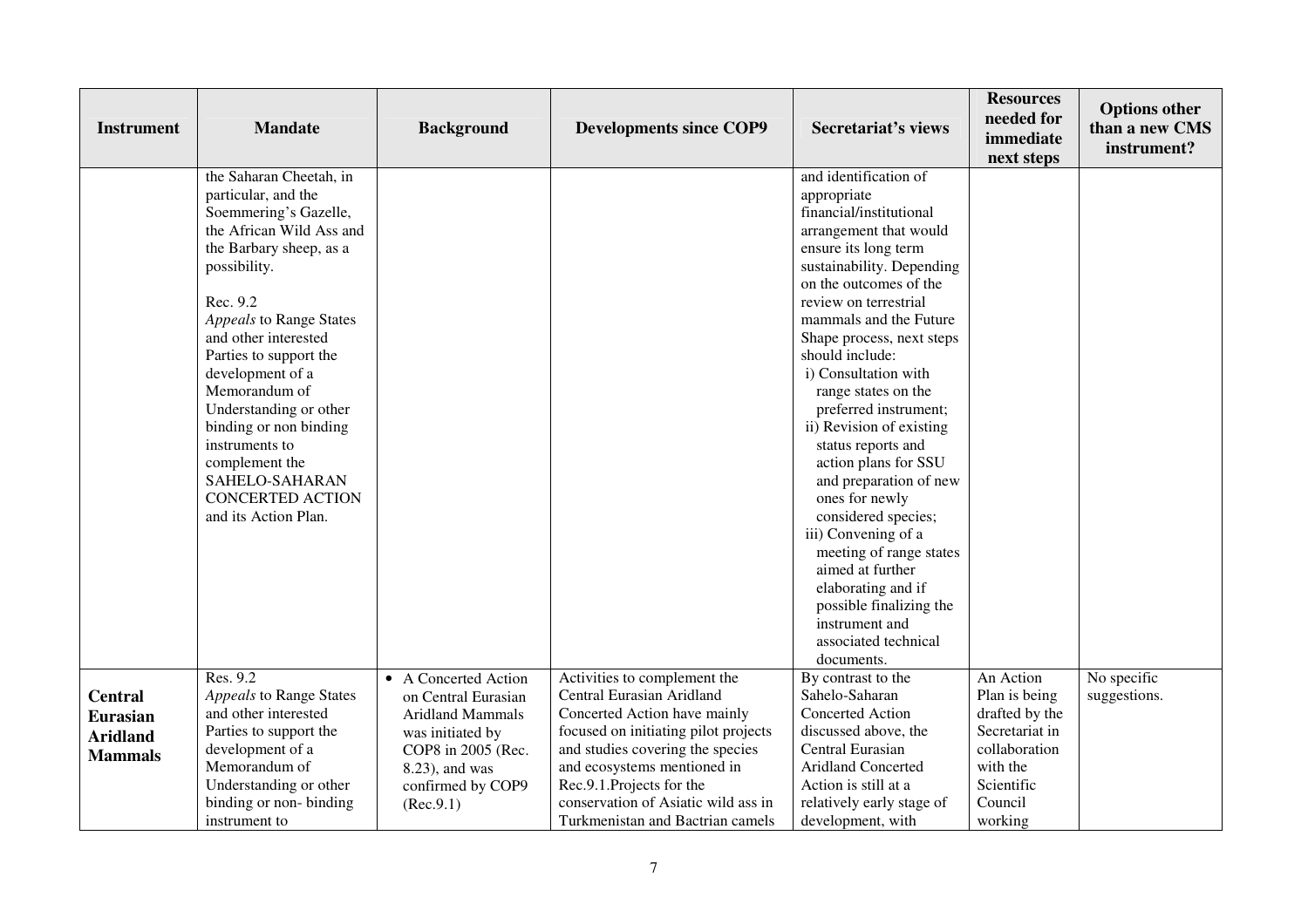| <b>Instrument</b>                                                      | <b>Mandate</b>                                                                                                                                                                                                                                                                                                                                                                                                                            | <b>Background</b>                                                                                                                                                    | <b>Developments since COP9</b>                                                                                                                                                                                                                                                                              | <b>Secretariat's views</b>                                                                                                                                                                                                                                                                                                                                                                                                                                                                                                                                                                                                                                                      | <b>Resources</b><br>needed for<br>immediate<br>next steps                                                                       | <b>Options other</b><br>than a new CMS<br>instrument? |
|------------------------------------------------------------------------|-------------------------------------------------------------------------------------------------------------------------------------------------------------------------------------------------------------------------------------------------------------------------------------------------------------------------------------------------------------------------------------------------------------------------------------------|----------------------------------------------------------------------------------------------------------------------------------------------------------------------|-------------------------------------------------------------------------------------------------------------------------------------------------------------------------------------------------------------------------------------------------------------------------------------------------------------|---------------------------------------------------------------------------------------------------------------------------------------------------------------------------------------------------------------------------------------------------------------------------------------------------------------------------------------------------------------------------------------------------------------------------------------------------------------------------------------------------------------------------------------------------------------------------------------------------------------------------------------------------------------------------------|---------------------------------------------------------------------------------------------------------------------------------|-------------------------------------------------------|
|                                                                        | the Saharan Cheetah, in<br>particular, and the<br>Soemmering's Gazelle,<br>the African Wild Ass and<br>the Barbary sheep, as a<br>possibility.<br>Rec. 9.2<br>Appeals to Range States<br>and other interested<br>Parties to support the<br>development of a<br>Memorandum of<br>Understanding or other<br>binding or non binding<br>instruments to<br>complement the<br>SAHELO-SAHARAN<br><b>CONCERTED ACTION</b><br>and its Action Plan. |                                                                                                                                                                      |                                                                                                                                                                                                                                                                                                             | and identification of<br>appropriate<br>financial/institutional<br>arrangement that would<br>ensure its long term<br>sustainability. Depending<br>on the outcomes of the<br>review on terrestrial<br>mammals and the Future<br>Shape process, next steps<br>should include:<br>i) Consultation with<br>range states on the<br>preferred instrument;<br>ii) Revision of existing<br>status reports and<br>action plans for SSU<br>and preparation of new<br>ones for newly<br>considered species;<br>iii) Convening of a<br>meeting of range states<br>aimed at further<br>elaborating and if<br>possible finalizing the<br>instrument and<br>associated technical<br>documents. |                                                                                                                                 |                                                       |
| <b>Central</b><br><b>Eurasian</b><br><b>Aridland</b><br><b>Mammals</b> | Res. 9.2<br><b>Appeals to Range States</b><br>and other interested<br>Parties to support the<br>development of a<br>Memorandum of<br>Understanding or other<br>binding or non-binding<br>instrument to                                                                                                                                                                                                                                    | • A Concerted Action<br>on Central Eurasian<br><b>Aridland Mammals</b><br>was initiated by<br>COP8 in 2005 (Rec.<br>8.23), and was<br>confirmed by COP9<br>(Rec.9.1) | Activities to complement the<br>Central Eurasian Aridland<br>Concerted Action have mainly<br>focused on initiating pilot projects<br>and studies covering the species<br>and ecosystems mentioned in<br>Rec.9.1.Projects for the<br>conservation of Asiatic wild ass in<br>Turkmenistan and Bactrian camels | By contrast to the<br>Sahelo-Saharan<br><b>Concerted Action</b><br>discussed above, the<br>Central Eurasian<br><b>Aridland Concerted</b><br>Action is still at a<br>relatively early stage of<br>development, with                                                                                                                                                                                                                                                                                                                                                                                                                                                              | An Action<br>Plan is being<br>drafted by the<br>Secretariat in<br>collaboration<br>with the<br>Scientific<br>Council<br>working | No specific<br>suggestions.                           |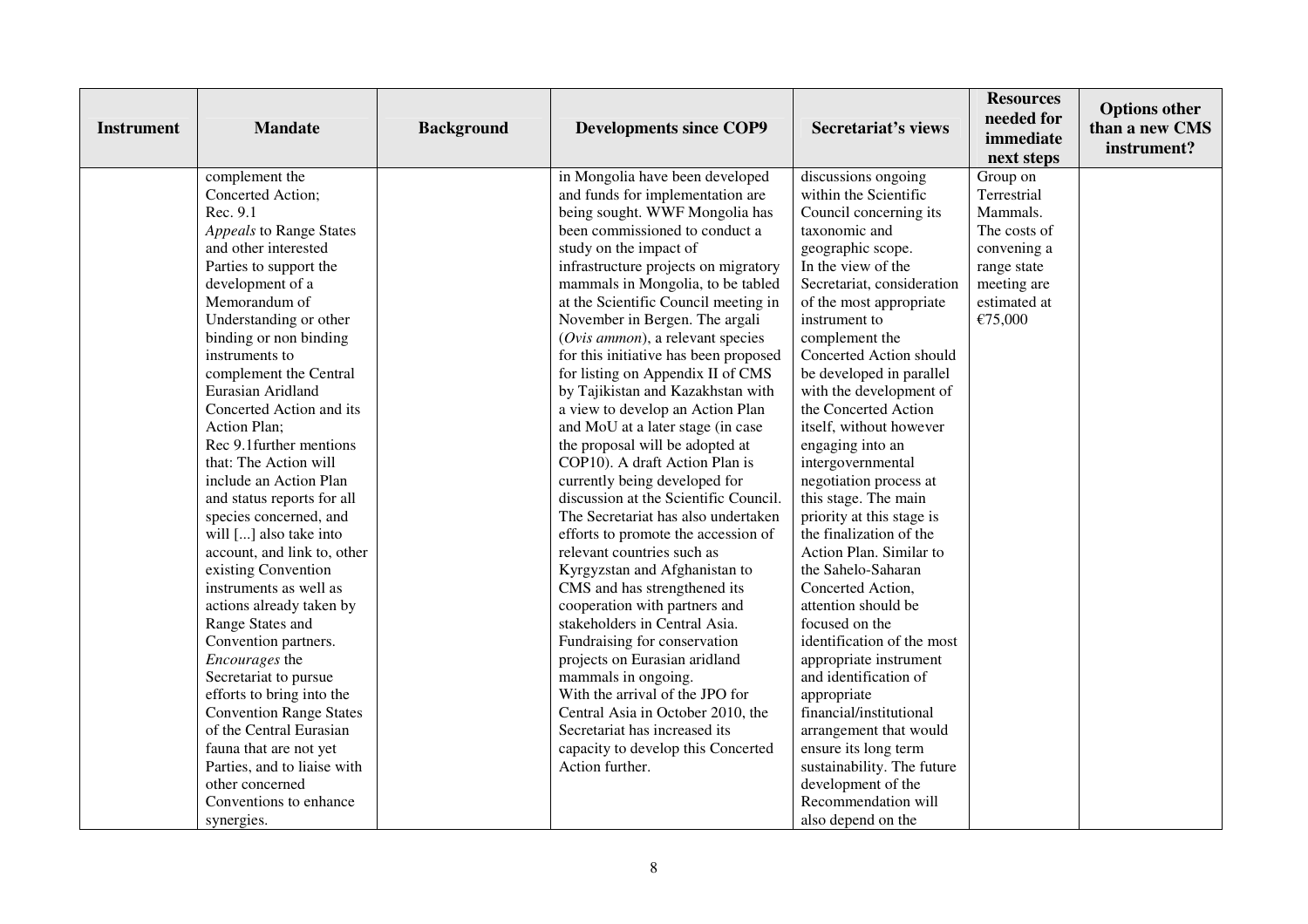| <b>Instrument</b> | <b>Mandate</b>                 | <b>Background</b> | <b>Developments since COP9</b>        | <b>Secretariat's views</b> | <b>Resources</b><br>needed for<br>immediate<br>next steps | <b>Options other</b><br>than a new CMS<br>instrument? |
|-------------------|--------------------------------|-------------------|---------------------------------------|----------------------------|-----------------------------------------------------------|-------------------------------------------------------|
|                   | complement the                 |                   | in Mongolia have been developed       | discussions ongoing        | Group on                                                  |                                                       |
|                   | Concerted Action;              |                   | and funds for implementation are      | within the Scientific      | Terrestrial                                               |                                                       |
|                   | Rec. 9.1                       |                   | being sought. WWF Mongolia has        | Council concerning its     | Mammals.                                                  |                                                       |
|                   | Appeals to Range States        |                   | been commissioned to conduct a        | taxonomic and              | The costs of                                              |                                                       |
|                   | and other interested           |                   | study on the impact of                | geographic scope.          | convening a                                               |                                                       |
|                   | Parties to support the         |                   | infrastructure projects on migratory  | In the view of the         | range state                                               |                                                       |
|                   | development of a               |                   | mammals in Mongolia, to be tabled     | Secretariat, consideration | meeting are                                               |                                                       |
|                   | Memorandum of                  |                   | at the Scientific Council meeting in  | of the most appropriate    | estimated at                                              |                                                       |
|                   | Understanding or other         |                   | November in Bergen. The argali        | instrument to              | €75,000                                                   |                                                       |
|                   | binding or non binding         |                   | (Ovis ammon), a relevant species      | complement the             |                                                           |                                                       |
|                   | instruments to                 |                   | for this initiative has been proposed | Concerted Action should    |                                                           |                                                       |
|                   | complement the Central         |                   | for listing on Appendix II of CMS     | be developed in parallel   |                                                           |                                                       |
|                   | Eurasian Aridland              |                   | by Tajikistan and Kazakhstan with     | with the development of    |                                                           |                                                       |
|                   | Concerted Action and its       |                   | a view to develop an Action Plan      | the Concerted Action       |                                                           |                                                       |
|                   | Action Plan;                   |                   | and MoU at a later stage (in case     | itself, without however    |                                                           |                                                       |
|                   | Rec 9.1 further mentions       |                   | the proposal will be adopted at       | engaging into an           |                                                           |                                                       |
|                   | that: The Action will          |                   | COP10). A draft Action Plan is        | intergovernmental          |                                                           |                                                       |
|                   | include an Action Plan         |                   | currently being developed for         | negotiation process at     |                                                           |                                                       |
|                   | and status reports for all     |                   | discussion at the Scientific Council. | this stage. The main       |                                                           |                                                       |
|                   | species concerned, and         |                   | The Secretariat has also undertaken   | priority at this stage is  |                                                           |                                                       |
|                   | will [] also take into         |                   | efforts to promote the accession of   | the finalization of the    |                                                           |                                                       |
|                   | account, and link to, other    |                   | relevant countries such as            | Action Plan. Similar to    |                                                           |                                                       |
|                   | existing Convention            |                   | Kyrgyzstan and Afghanistan to         | the Sahelo-Saharan         |                                                           |                                                       |
|                   | instruments as well as         |                   | CMS and has strengthened its          | Concerted Action,          |                                                           |                                                       |
|                   | actions already taken by       |                   | cooperation with partners and         | attention should be        |                                                           |                                                       |
|                   | Range States and               |                   | stakeholders in Central Asia.         | focused on the             |                                                           |                                                       |
|                   | Convention partners.           |                   | Fundraising for conservation          | identification of the most |                                                           |                                                       |
|                   | Encourages the                 |                   | projects on Eurasian aridland         | appropriate instrument     |                                                           |                                                       |
|                   | Secretariat to pursue          |                   | mammals in ongoing.                   | and identification of      |                                                           |                                                       |
|                   | efforts to bring into the      |                   | With the arrival of the JPO for       | appropriate                |                                                           |                                                       |
|                   | <b>Convention Range States</b> |                   | Central Asia in October 2010, the     | financial/institutional    |                                                           |                                                       |
|                   | of the Central Eurasian        |                   | Secretariat has increased its         | arrangement that would     |                                                           |                                                       |
|                   | fauna that are not yet         |                   | capacity to develop this Concerted    | ensure its long term       |                                                           |                                                       |
|                   | Parties, and to liaise with    |                   | Action further.                       | sustainability. The future |                                                           |                                                       |
|                   | other concerned                |                   |                                       | development of the         |                                                           |                                                       |
|                   | Conventions to enhance         |                   |                                       | Recommendation will        |                                                           |                                                       |
|                   | synergies.                     |                   |                                       | also depend on the         |                                                           |                                                       |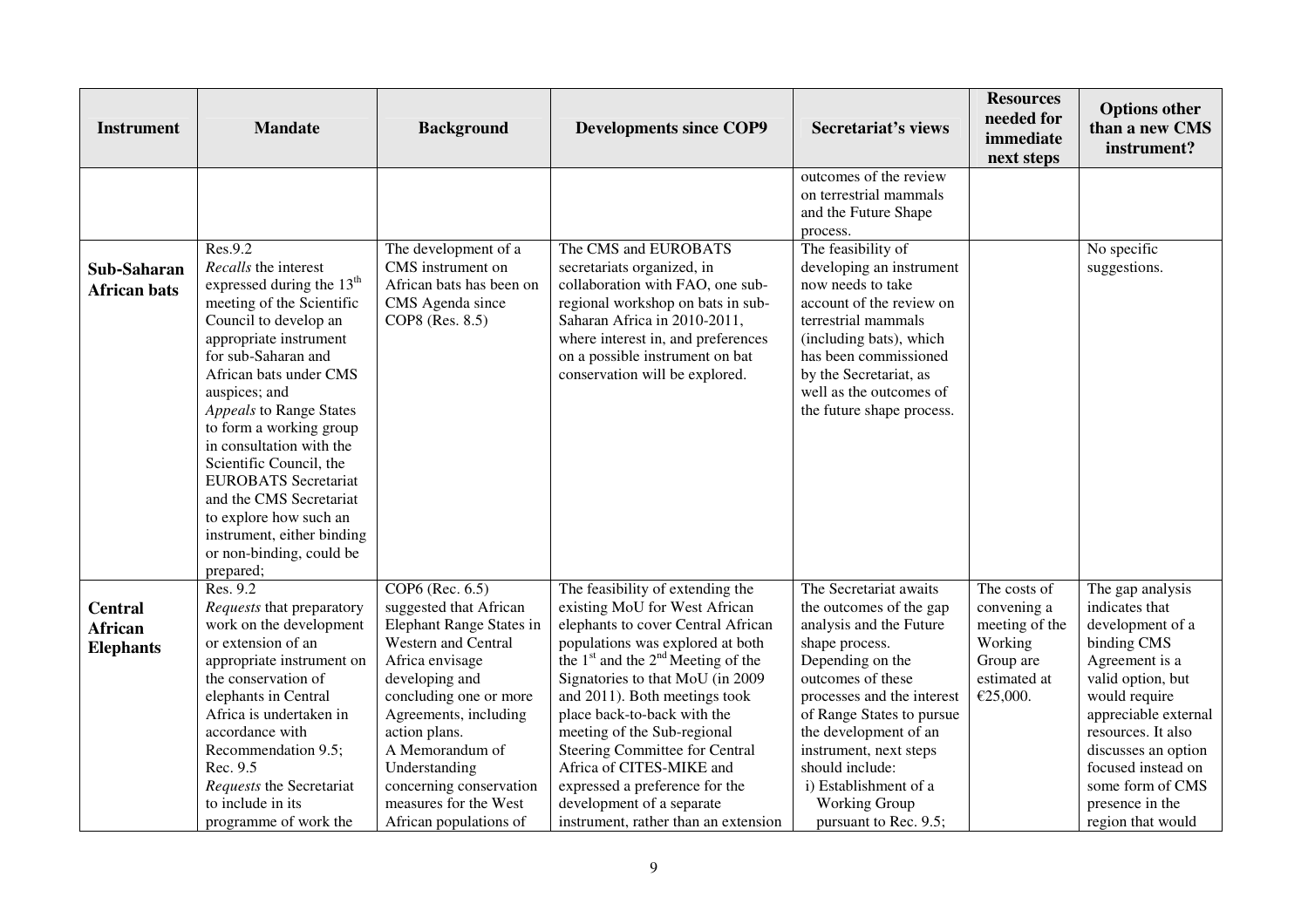| <b>Instrument</b>                             | <b>Mandate</b>                                                                                                                                                                                                                                                                                                                                                                                                                                                                                     | <b>Background</b>                                                                                                                                                                                                                                                                                                       | <b>Developments since COP9</b>                                                                                                                                                                                                                                                                                                                                                                                                                                                                       | <b>Secretariat's views</b>                                                                                                                                                                                                                                                                                                                  | <b>Resources</b><br>needed for<br>immediate<br>next steps                                         | <b>Options other</b><br>than a new CMS<br>instrument?                                                                                                                                                                                                                                |
|-----------------------------------------------|----------------------------------------------------------------------------------------------------------------------------------------------------------------------------------------------------------------------------------------------------------------------------------------------------------------------------------------------------------------------------------------------------------------------------------------------------------------------------------------------------|-------------------------------------------------------------------------------------------------------------------------------------------------------------------------------------------------------------------------------------------------------------------------------------------------------------------------|------------------------------------------------------------------------------------------------------------------------------------------------------------------------------------------------------------------------------------------------------------------------------------------------------------------------------------------------------------------------------------------------------------------------------------------------------------------------------------------------------|---------------------------------------------------------------------------------------------------------------------------------------------------------------------------------------------------------------------------------------------------------------------------------------------------------------------------------------------|---------------------------------------------------------------------------------------------------|--------------------------------------------------------------------------------------------------------------------------------------------------------------------------------------------------------------------------------------------------------------------------------------|
|                                               |                                                                                                                                                                                                                                                                                                                                                                                                                                                                                                    |                                                                                                                                                                                                                                                                                                                         |                                                                                                                                                                                                                                                                                                                                                                                                                                                                                                      | outcomes of the review<br>on terrestrial mammals<br>and the Future Shape<br>process.                                                                                                                                                                                                                                                        |                                                                                                   |                                                                                                                                                                                                                                                                                      |
| Sub-Saharan<br><b>African bats</b>            | Res.9.2<br>Recalls the interest<br>expressed during the 13 <sup>th</sup><br>meeting of the Scientific<br>Council to develop an<br>appropriate instrument<br>for sub-Saharan and<br>African bats under CMS<br>auspices; and<br>Appeals to Range States<br>to form a working group<br>in consultation with the<br>Scientific Council, the<br><b>EUROBATS</b> Secretariat<br>and the CMS Secretariat<br>to explore how such an<br>instrument, either binding<br>or non-binding, could be<br>prepared; | The development of a<br>CMS instrument on<br>African bats has been on<br>CMS Agenda since<br>COP8 (Res. 8.5)                                                                                                                                                                                                            | The CMS and EUROBATS<br>secretariats organized, in<br>collaboration with FAO, one sub-<br>regional workshop on bats in sub-<br>Saharan Africa in 2010-2011,<br>where interest in, and preferences<br>on a possible instrument on bat<br>conservation will be explored.                                                                                                                                                                                                                               | The feasibility of<br>developing an instrument<br>now needs to take<br>account of the review on<br>terrestrial mammals<br>(including bats), which<br>has been commissioned<br>by the Secretariat, as<br>well as the outcomes of<br>the future shape process.                                                                                |                                                                                                   | No specific<br>suggestions.                                                                                                                                                                                                                                                          |
| <b>Central</b><br>African<br><b>Elephants</b> | Res. 9.2<br>Requests that preparatory<br>work on the development<br>or extension of an<br>appropriate instrument on<br>the conservation of<br>elephants in Central<br>Africa is undertaken in<br>accordance with<br>Recommendation 9.5;<br>Rec. 9.5<br>Requests the Secretariat<br>to include in its<br>programme of work the                                                                                                                                                                      | COP6 (Rec. 6.5)<br>suggested that African<br>Elephant Range States in<br>Western and Central<br>Africa envisage<br>developing and<br>concluding one or more<br>Agreements, including<br>action plans.<br>A Memorandum of<br>Understanding<br>concerning conservation<br>measures for the West<br>African populations of | The feasibility of extending the<br>existing MoU for West African<br>elephants to cover Central African<br>populations was explored at both<br>the $1st$ and the $2nd$ Meeting of the<br>Signatories to that MoU (in 2009<br>and 2011). Both meetings took<br>place back-to-back with the<br>meeting of the Sub-regional<br><b>Steering Committee for Central</b><br>Africa of CITES-MIKE and<br>expressed a preference for the<br>development of a separate<br>instrument, rather than an extension | The Secretariat awaits<br>the outcomes of the gap<br>analysis and the Future<br>shape process.<br>Depending on the<br>outcomes of these<br>processes and the interest<br>of Range States to pursue<br>the development of an<br>instrument, next steps<br>should include:<br>i) Establishment of a<br>Working Group<br>pursuant to Rec. 9.5; | The costs of<br>convening a<br>meeting of the<br>Working<br>Group are<br>estimated at<br>€25,000. | The gap analysis<br>indicates that<br>development of a<br>binding CMS<br>Agreement is a<br>valid option, but<br>would require<br>appreciable external<br>resources. It also<br>discusses an option<br>focused instead on<br>some form of CMS<br>presence in the<br>region that would |